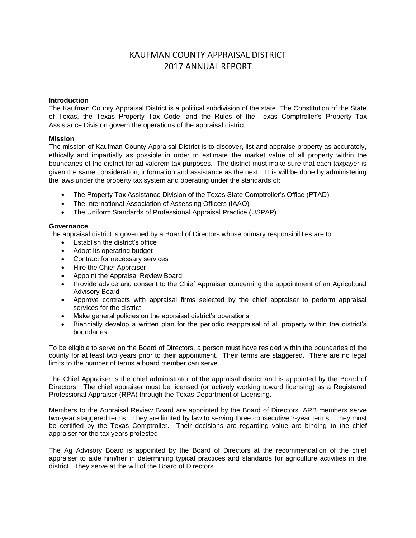# KAUFMAN COUNTY APPRAISAL DISTRICT 2017 ANNUAL REPORT

### **Introduction**

The Kaufman County Appraisal District is a political subdivision of the state. The Constitution of the State of Texas, the Texas Property Tax Code, and the Rules of the Texas Comptroller's Property Tax Assistance Division govern the operations of the appraisal district.

## **Mission**

The mission of Kaufman County Appraisal District is to discover, list and appraise property as accurately, ethically and impartially as possible in order to estimate the market value of all property within the boundaries of the district for ad valorem tax purposes. The district must make sure that each taxpayer is given the same consideration, information and assistance as the next. This will be done by administering the laws under the property tax system and operating under the standards of:

- The Property Tax Assistance Division of the Texas State Comptroller's Office (PTAD)
- The International Association of Assessing Officers (IAAO)
- The Uniform Standards of Professional Appraisal Practice (USPAP)

## **Governance**

The appraisal district is governed by a Board of Directors whose primary responsibilities are to:

- Establish the district's office
- Adopt its operating budget
- Contract for necessary services
- Hire the Chief Appraiser
- Appoint the Appraisal Review Board
- Provide advice and consent to the Chief Appraiser concerning the appointment of an Agricultural Advisory Board
- Approve contracts with appraisal firms selected by the chief appraiser to perform appraisal services for the district
- Make general policies on the appraisal district's operations
- Biennially develop a written plan for the periodic reappraisal of all property within the district's boundaries

To be eligible to serve on the Board of Directors, a person must have resided within the boundaries of the county for at least two years prior to their appointment. Their terms are staggered. There are no legal limits to the number of terms a board member can serve.

The Chief Appraiser is the chief administrator of the appraisal district and is appointed by the Board of Directors. The chief appraiser must be licensed (or actively working toward licensing) as a Registered Professional Appraiser (RPA) through the Texas Department of Licensing.

Members to the Appraisal Review Board are appointed by the Board of Directors. ARB members serve two-year staggered terms. They are limited by law to serving three consecutive 2-year terms. They must be certified by the Texas Comptroller. Their decisions are regarding value are binding to the chief appraiser for the tax years protested.

The Ag Advisory Board is appointed by the Board of Directors at the recommendation of the chief appraiser to aide him/her in determining typical practices and standards for agriculture activities in the district. They serve at the will of the Board of Directors.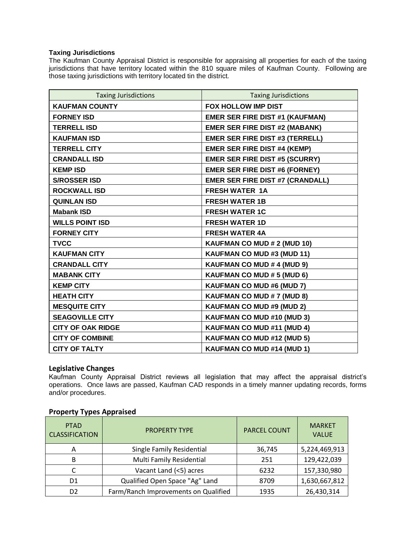## **Taxing Jurisdictions**

The Kaufman County Appraisal District is responsible for appraising all properties for each of the taxing jurisdictions that have territory located within the 810 square miles of Kaufman County. Following are those taxing jurisdictions with territory located tin the district.

| <b>Taxing Jurisdictions</b> | <b>Taxing Jurisdictions</b>             |
|-----------------------------|-----------------------------------------|
| <b>KAUFMAN COUNTY</b>       | FOX HOLLOW IMP DIST                     |
| <b>FORNEY ISD</b>           | <b>EMER SER FIRE DIST #1 (KAUFMAN)</b>  |
| <b>TERRELL ISD</b>          | <b>EMER SER FIRE DIST #2 (MABANK)</b>   |
| <b>KAUFMAN ISD</b>          | <b>EMER SER FIRE DIST #3 (TERRELL)</b>  |
| <b>TERRELL CITY</b>         | <b>EMER SER FIRE DIST #4 (KEMP)</b>     |
| <b>CRANDALL ISD</b>         | <b>EMER SER FIRE DIST #5 (SCURRY)</b>   |
| <b>KEMP ISD</b>             | <b>EMER SER FIRE DIST #6 (FORNEY)</b>   |
| <b>S/ROSSER ISD</b>         | <b>EMER SER FIRE DIST #7 (CRANDALL)</b> |
| <b>ROCKWALL ISD</b>         | <b>FRESH WATER 1A</b>                   |
| <b>QUINLAN ISD</b>          | <b>FRESH WATER 1B</b>                   |
| <b>Mabank ISD</b>           | <b>FRESH WATER 1C</b>                   |
| <b>WILLS POINT ISD</b>      | <b>FRESH WATER 1D</b>                   |
| <b>FORNEY CITY</b>          | <b>FRESH WATER 4A</b>                   |
| <b>TVCC</b>                 | KAUFMAN CO MUD # 2 (MUD 10)             |
| <b>KAUFMAN CITY</b>         | KAUFMAN CO MUD #3 (MUD 11)              |
| <b>CRANDALL CITY</b>        | KAUFMAN CO MUD # 4 (MUD 9)              |
| <b>MABANK CITY</b>          | KAUFMAN CO MUD # 5 (MUD 6)              |
| <b>KEMP CITY</b>            | KAUFMAN CO MUD #6 (MUD 7)               |
| <b>HEATH CITY</b>           | KAUFMAN CO MUD # 7 (MUD 8)              |
| <b>MESQUITE CITY</b>        | <b>KAUFMAN CO MUD #9 (MUD 2)</b>        |
| <b>SEAGOVILLE CITY</b>      | KAUFMAN CO MUD #10 (MUD 3)              |
| <b>CITY OF OAK RIDGE</b>    | <b>KAUFMAN CO MUD #11 (MUD 4)</b>       |
| <b>CITY OF COMBINE</b>      | KAUFMAN CO MUD #12 (MUD 5)              |
| <b>CITY OF TALTY</b>        | <b>KAUFMAN CO MUD #14 (MUD 1)</b>       |

# **Legislative Changes**

Kaufman County Appraisal District reviews all legislation that may affect the appraisal district's operations. Once laws are passed, Kaufman CAD responds in a timely manner updating records, forms and/or procedures.

| <b>PTAD</b><br><b>CLASSIFICATION</b> | <b>PROPERTY TYPE</b>                 | <b>PARCEL COUNT</b> | <b>MARKET</b><br><b>VALUE</b> |
|--------------------------------------|--------------------------------------|---------------------|-------------------------------|
| Α                                    | Single Family Residential            | 36,745              | 5,224,469,913                 |
| B                                    | Multi Family Residential             | 251                 | 129,422,039                   |
|                                      | Vacant Land (<5) acres               | 6232                | 157,330,980                   |
| D1                                   | Qualified Open Space "Ag" Land       | 8709                | 1,630,667,812                 |
| D <sub>2</sub>                       | Farm/Ranch Improvements on Qualified | 1935                | 26,430,314                    |

# **Property Types Appraised**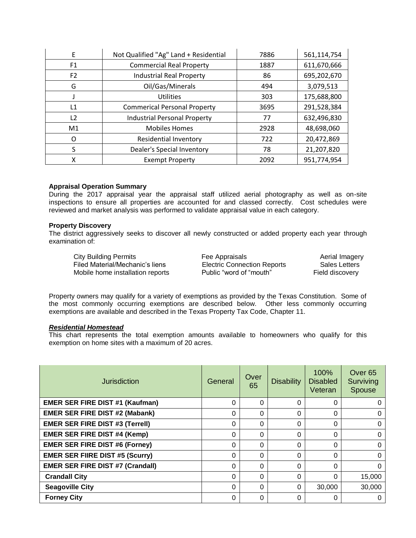| F              | Not Qualified "Ag" Land + Residential | 7886 | 561,114,754 |
|----------------|---------------------------------------|------|-------------|
| F <sub>1</sub> | <b>Commercial Real Property</b>       | 1887 | 611,670,666 |
| F <sub>2</sub> | <b>Industrial Real Property</b>       | 86   | 695,202,670 |
| G              | Oil/Gas/Minerals                      | 494  | 3,079,513   |
|                | <b>Utilities</b>                      | 303  | 175,688,800 |
| L1             | <b>Commerical Personal Property</b>   | 3695 | 291,528,384 |
| L <sub>2</sub> | <b>Industrial Personal Property</b>   | 77   | 632,496,830 |
| M1             | <b>Mobiles Homes</b>                  | 2928 | 48,698,060  |
| O              | Residential Inventory                 | 722  | 20,472,869  |
| S              | <b>Dealer's Special Inventory</b>     | 78   | 21,207,820  |
| x              | <b>Exempt Property</b>                | 2092 | 951,774,954 |

### **Appraisal Operation Summary**

During the 2017 appraisal year the appraisal staff utilized aerial photography as well as on-site inspections to ensure all properties are accounted for and classed correctly. Cost schedules were reviewed and market analysis was performed to validate appraisal value in each category.

#### **Property Discovery**

The district aggressively seeks to discover all newly constructed or added property each year through examination of:

 City Building Permits Fee Appraisals Aerial Imagery Filed Material/Mechanic's liens Electric Connection Reports Sales Letters Mobile home installation reports **Public "word of "mouth"** Field discovery

Property owners may qualify for a variety of exemptions as provided by the Texas Constitution. Some of the most commonly occurring exemptions are described below. Other less commonly occurring exemptions are available and described in the Texas Property Tax Code, Chapter 11.

# *Residential Homestead*

This chart represents the total exemption amounts available to homeowners who qualify for this exemption on home sites with a maximum of 20 acres.

| <b>Jurisdiction</b>                     | General  | Over<br>65 | <b>Disability</b> | 100%<br><b>Disabled</b><br>Veteran | Over <sub>65</sub><br>Surviving<br>Spouse |
|-----------------------------------------|----------|------------|-------------------|------------------------------------|-------------------------------------------|
| <b>EMER SER FIRE DIST #1 (Kaufman)</b>  | 0        | 0          | 0                 | 0                                  |                                           |
| <b>EMER SER FIRE DIST #2 (Mabank)</b>   | $\Omega$ | 0          | $\Omega$          | 0                                  |                                           |
| <b>EMER SER FIRE DIST #3 (Terrell)</b>  | 0        | $\Omega$   | $\Omega$          | $\Omega$                           | 0                                         |
| <b>EMER SER FIRE DIST #4 (Kemp)</b>     | $\Omega$ | $\Omega$   | $\Omega$          | $\Omega$                           | 0                                         |
| <b>EMER SER FIRE DIST #6 (Forney)</b>   | $\Omega$ | $\Omega$   | $\Omega$          | $\Omega$                           | 0                                         |
| <b>EMER SER FIIRE DIST #5 (Scurry)</b>  | 0        | $\Omega$   | 0                 | 0                                  | 0                                         |
| <b>EMER SER FIRE DIST #7 (Crandall)</b> | 0        | 0          | 0                 | 0                                  | 0                                         |
| <b>Crandall City</b>                    | 0        | $\Omega$   | $\Omega$          | 0                                  | 15,000                                    |
| <b>Seagoville City</b>                  | 0        | 0          | $\Omega$          | 30,000                             | 30,000                                    |
| <b>Forney City</b>                      | 0        | 0          | 0                 | 0                                  |                                           |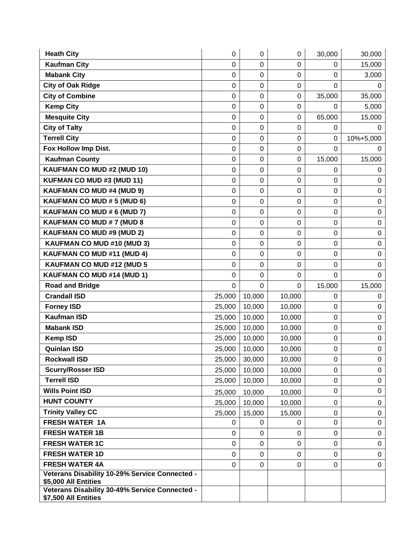| <b>Heath City</b>                                                      | 0                | $\mathbf 0$      | $\boldsymbol{0}$ | 30,000           | 30,000           |
|------------------------------------------------------------------------|------------------|------------------|------------------|------------------|------------------|
| <b>Kaufman City</b>                                                    | 0                | 0                | $\mathbf 0$      | 0                | 15,000           |
| <b>Mabank City</b>                                                     | 0                | $\mathbf 0$      | $\mathbf 0$      | $\mathbf 0$      | 3,000            |
| <b>City of Oak Ridge</b>                                               | 0                | $\mathbf 0$      | $\boldsymbol{0}$ | $\mathbf 0$      | 0                |
| <b>City of Combine</b>                                                 | 0                | $\mathbf 0$      | $\mathbf 0$      | 35,000           | 35,000           |
| <b>Kemp City</b>                                                       | 0                | $\mathbf 0$      | $\boldsymbol{0}$ | 0                | 5,000            |
| <b>Mesquite City</b>                                                   | 0                | $\mathbf 0$      | $\mathbf 0$      | 65,000           | 15,000           |
| <b>City of Talty</b>                                                   | 0                | $\mathbf 0$      | $\mathbf 0$      | 0                | 0                |
| <b>Terrell City</b>                                                    | $\mathsf 0$      | $\mathbf 0$      | $\pmb{0}$        | $\pmb{0}$        | 10%+5,000        |
| Fox Hollow Imp Dist.                                                   | 0                | $\mathbf 0$      | $\mathbf 0$      | $\mathbf 0$      | 0                |
| <b>Kaufman County</b>                                                  | 0                | $\mathbf 0$      | $\mathbf 0$      | 15,000           | 15,000           |
| KAUFMAN CO MUD #2 (MUD 10)                                             | 0                | $\mathbf 0$      | $\mathbf 0$      | $\mathbf 0$      | 0                |
| KUFMAN CO MUD #3 (MUD 11)                                              | 0                | $\mathbf 0$      | $\mathbf 0$      | $\mathbf 0$      | 0                |
| <b>KAUFMAN CO MUD #4 (MUD 9)</b>                                       | $\mathbf 0$      | $\mathbf 0$      | $\mathbf 0$      | $\mathbf 0$      | $\mathbf 0$      |
| KAUFMAN CO MUD # 5 (MUD 6)                                             | 0                | $\mathbf 0$      | $\pmb{0}$        | $\boldsymbol{0}$ | $\pmb{0}$        |
| KAUFMAN CO MUD # 6 (MUD 7)                                             | 0                | $\boldsymbol{0}$ | $\boldsymbol{0}$ | $\boldsymbol{0}$ | $\pmb{0}$        |
| KAUFMAN CO MUD # 7 (MUD 8                                              | 0                | $\overline{0}$   | $\mathbf 0$      | $\mathbf 0$      | $\mathbf 0$      |
| <b>KAUFMAN CO MUD #9 (MUD 2)</b>                                       | 0                | $\mathbf 0$      | $\mathbf 0$      | $\mathbf 0$      | $\mathbf 0$      |
| KAUFMAN CO MUD #10 (MUD 3)                                             | 0                | $\mathbf 0$      | $\mathbf 0$      | $\mathbf 0$      | $\boldsymbol{0}$ |
| KAUFMAN CO MUD #11 (MUD 4)                                             | 0                | $\mathbf 0$      | $\mathbf 0$      | $\mathbf 0$      | $\mathbf 0$      |
| <b>KAUFMAN CO MUD #12 (MUD 5</b>                                       | $\mathsf 0$      | $\mathbf 0$      | $\mathbf 0$      | $\mathbf 0$      | $\mathbf 0$      |
| KAUFMAN CO MUD #14 (MUD 1)                                             | 0                | $\mathbf 0$      | $\mathbf 0$      | $\mathbf 0$      | $\mathbf 0$      |
| <b>Road and Bridge</b>                                                 | $\mathbf 0$      | $\mathbf 0$      | $\Omega$         | 15,000           | 15,000           |
| <b>Crandall ISD</b>                                                    | 25,000           | 10,000           | 10,000           | 0                | 0                |
| <b>Forney ISD</b>                                                      | 25,000           | 10,000           | 10,000           | $\mathbf 0$      | 0                |
| <b>Kaufman ISD</b>                                                     | 25,000           | 10,000           | 10,000           | $\boldsymbol{0}$ | $\mathbf 0$      |
| <b>Mabank ISD</b>                                                      | 25,000           | 10,000           | 10,000           | $\boldsymbol{0}$ | $\boldsymbol{0}$ |
| <b>Kemp ISD</b>                                                        | 25,000           | 10,000           | 10,000           | $\boldsymbol{0}$ | 0                |
| <b>Quinlan ISD</b>                                                     | 25,000           | 10,000           | 10,000           | $\boldsymbol{0}$ | $\pmb{0}$        |
| <b>Rockwall ISD</b>                                                    | 25,000           | 30,000           | 10,000           | 0                | 0                |
| <b>Scurry/Rosser ISD</b>                                               | 25,000           | 10,000           | 10,000           | 0                | $\mathbf 0$      |
| <b>Terrell ISD</b>                                                     | 25,000           | 10,000           | 10,000           | $\mathbf 0$      | $\mathbf 0$      |
| <b>Wills Point ISD</b>                                                 | 25,000           | 10,000           | 10,000           | $\mathbf 0$      | $\mathbf 0$      |
| <b>HUNT COUNTY</b>                                                     | 25,000           | 10,000           | 10,000           | 0                | 0                |
| <b>Trinity Valley CC</b>                                               | 25,000           | 15,000           | 15,000           | 0                | 0                |
| <b>FRESH WATER 1A</b>                                                  | 0                | 0                | 0                | 0                | $\mathbf 0$      |
| <b>FRESH WATER 1B</b>                                                  | 0                | $\mathbf 0$      | $\mathbf 0$      | $\mathbf 0$      | 0                |
| <b>FRESH WATER 1C</b>                                                  | $\boldsymbol{0}$ | $\mathbf 0$      | $\mathbf 0$      | $\mathbf 0$      | $\mathbf 0$      |
| <b>FRESH WATER 1D</b>                                                  | 0                | $\mathbf 0$      | $\mathbf 0$      | $\mathbf 0$      | $\mathbf 0$      |
| <b>FRESH WATER 4A</b>                                                  | 0                | $\mathbf 0$      | $\mathbf 0$      | 0                | $\mathbf 0$      |
| Veterans Disability 10-29% Service Connected -<br>\$5,000 All Entities |                  |                  |                  |                  |                  |
| Veterans Disability 30-49% Service Connected -<br>\$7,500 All Entities |                  |                  |                  |                  |                  |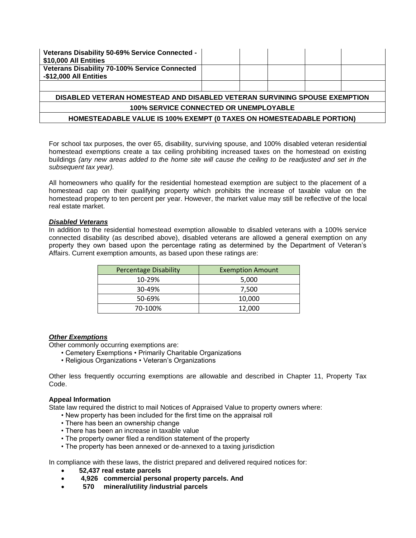| Veterans Disability 50-69% Service Connected -<br>\$10,000 All Entities      |  |  |  |  |  |
|------------------------------------------------------------------------------|--|--|--|--|--|
| Veterans Disability 70-100% Service Connected<br>-\$12,000 All Entities      |  |  |  |  |  |
|                                                                              |  |  |  |  |  |
| DISABLED VETERAN HOMESTEAD AND DISABLED VETERAN SURVINING SPOUSE EXEMPTION   |  |  |  |  |  |
| <b>100% SERVICE CONNECTED OR UNEMPLOYABLE</b>                                |  |  |  |  |  |
| <b>HOMESTEADABLE VALUE IS 100% EXEMPT (0 TAXES ON HOMESTEADABLE PORTION)</b> |  |  |  |  |  |

For school tax purposes, the over 65, disability, surviving spouse, and 100% disabled veteran residential homestead exemptions create a tax ceiling prohibiting increased taxes on the homestead on existing buildings *(any new areas added to the home site will cause the ceiling to be readjusted and set in the subsequent tax year).* 

All homeowners who qualify for the residential homestead exemption are subject to the placement of a homestead cap on their qualifying property which prohibits the increase of taxable value on the homestead property to ten percent per year. However, the market value may still be reflective of the local real estate market.

#### *Disabled Veterans*

In addition to the residential homestead exemption allowable to disabled veterans with a 100% service connected disability (as described above), disabled veterans are allowed a general exemption on any property they own based upon the percentage rating as determined by the Department of Veteran's Affairs. Current exemption amounts, as based upon these ratings are:

| <b>Percentage Disability</b> | <b>Exemption Amount</b> |  |  |
|------------------------------|-------------------------|--|--|
| 10-29%                       | 5,000                   |  |  |
| 30-49%                       | 7,500                   |  |  |
| 50-69%                       | 10,000                  |  |  |
| 70-100%                      | 12.000                  |  |  |

### *Other Exemptions*

Other commonly occurring exemptions are:

- Cemetery Exemptions Primarily Charitable Organizations
- Religious Organizations Veteran's Organizations

Other less frequently occurring exemptions are allowable and described in Chapter 11, Property Tax Code.

#### **Appeal Information**

State law required the district to mail Notices of Appraised Value to property owners where:

- New property has been included for the first time on the appraisal roll
- There has been an ownership change
- There has been an increase in taxable value
- The property owner filed a rendition statement of the property
- The property has been annexed or de-annexed to a taxing jurisdiction

In compliance with these laws, the district prepared and delivered required notices for:

- **52,437 real estate parcels**
- **4,926 commercial personal property parcels. And**
- **570 mineral/utility /industrial parcels**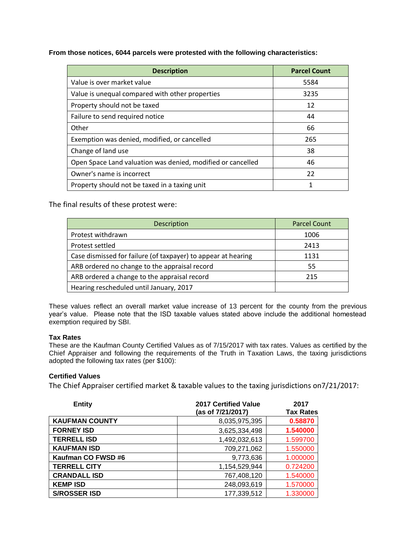**From those notices, 6044 parcels were protested with the following characteristics:**

| <b>Description</b>                                          | <b>Parcel Count</b> |
|-------------------------------------------------------------|---------------------|
| Value is over market value                                  | 5584                |
| Value is unequal compared with other properties             | 3235                |
| Property should not be taxed                                | 12                  |
| Failure to send required notice                             | 44                  |
| Other                                                       | 66                  |
| Exemption was denied, modified, or cancelled                | 265                 |
| Change of land use                                          | 38                  |
| Open Space Land valuation was denied, modified or cancelled | 46                  |
| Owner's name is incorrect                                   | 22                  |
| Property should not be taxed in a taxing unit               | 1                   |

The final results of these protest were:

| Description                                                   | <b>Parcel Count</b> |
|---------------------------------------------------------------|---------------------|
| Protest withdrawn                                             | 1006                |
| Protest settled                                               | 2413                |
| Case dismissed for failure (of taxpayer) to appear at hearing | 1131                |
| ARB ordered no change to the appraisal record                 | 55                  |
| ARB ordered a change to the appraisal record                  | 215                 |
| Hearing rescheduled until January, 2017                       |                     |

These values reflect an overall market value increase of 13 percent for the county from the previous year's value. Please note that the ISD taxable values stated above include the additional homestead exemption required by SBI.

# **Tax Rates**

These are the Kaufman County Certified Values as of 7/15/2017 with tax rates. Values as certified by the Chief Appraiser and following the requirements of the Truth in Taxation Laws, the taxing jurisdictions adopted the following tax rates (per \$100):

# **Certified Values**

The Chief Appraiser certified market & taxable values to the taxing jurisdictions on7/21/2017:

| <b>Entity</b>         | <b>2017 Certified Value</b><br>(as of 7/21/2017) | 2017<br><b>Tax Rates</b> |
|-----------------------|--------------------------------------------------|--------------------------|
| <b>KAUFMAN COUNTY</b> | 8,035,975,395                                    | 0.58870                  |
| <b>FORNEY ISD</b>     | 3,625,334,498                                    | 1.540000                 |
| <b>TERRELL ISD</b>    | 1,492,032,613                                    | 1.599700                 |
| <b>KAUFMAN ISD</b>    | 709,271,062                                      | 1.550000                 |
| Kaufman CO FWSD #6    | 9,773,636                                        | 1.000000                 |
| <b>TERRELL CITY</b>   | 1,154,529,944                                    | 0.724200                 |
| <b>CRANDALL ISD</b>   | 767,408,120                                      | 1.540000                 |
| <b>KEMP ISD</b>       | 248,093,619                                      | 1.570000                 |
| <b>S/ROSSER ISD</b>   | 177,339,512                                      | 1.330000                 |